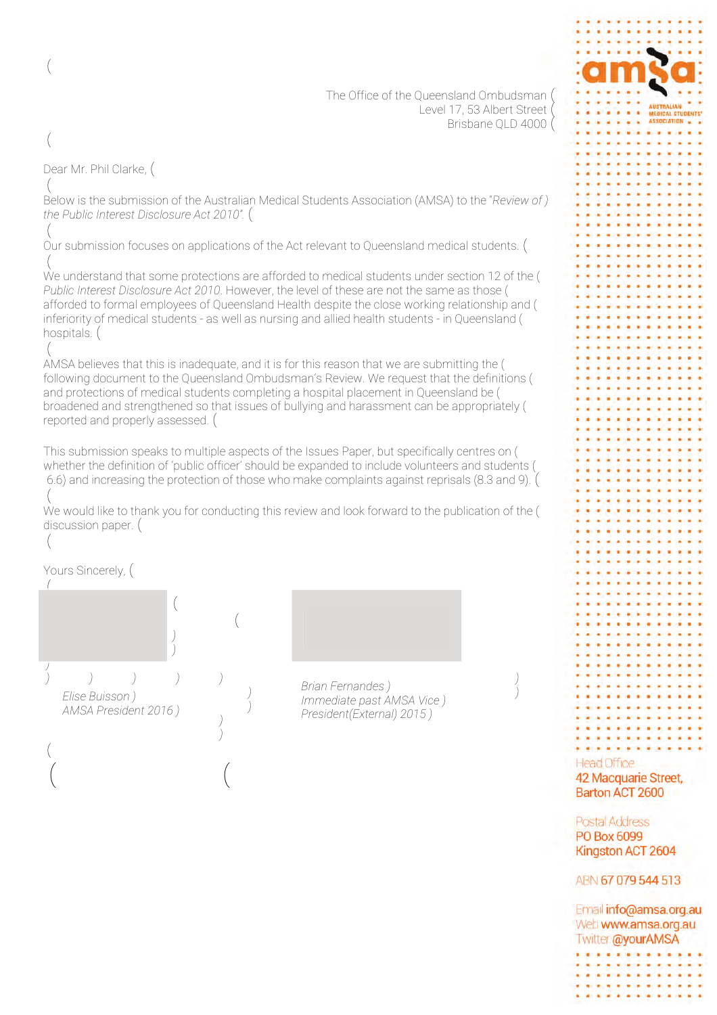The Office of the Oueensland Ombudsman ( Level 17, 53 Albert Street Brisbane QLD 4000 (

Dear Mr. Phil Clarke, (  $\left($ 

 $\left($ 

 $\left($ 

20 Below is the submission of the Australian Medical Students Association (AMSA) to the *"Review of Example 2010 Ethe Public Interest Disclosure Act 2010*<sup>*\*</sup>.* (</sup>

 $\left($ Our submission focuses on applications of the Act relevant to Oueensland medical students. (  $\left($ 

We understand that some protections are afforded to medical students under section 12 of the ( *Public Interest Disclosure Act 2010.* However, the level of these are not the same as those ( afforded to formal employees of Queensland Health despite the close working relationship and ( inferiority of medical students - as well as nursing and allied health students - in Queensland ( hospitals.  $($ 

 $\left($ AMSA believes that this is inadequate, and it is for this reason that we are submitting the ( following document to the Oueensland Ombudsman's Review. We request that the definitions ( and protections of medical students completing a hospital placement in Queensland be ( broadened and strengthened so that issues of bullying and harassment can be appropriately ( reported and properly assessed.  $($ 

 $+$  6.6) and increasing the protection of those who make complaints against reprisals (8.3 and 9). ( This submission speaks to multiple aspects of the Issues Paper, but specifically centres on ( whether the definition of 'public officer' should be expanded to include volunteers and students (

 $\left($ We would like to thank you for conducting this review and look forward to the publication of the ( discussion paper. (

Yours Sincerely, (

 $\left($ 

 $\sqrt{2}$ 

 $\left($ 

 *Elise Buisson* ) *(AMSA President 2016)* 

 $\begin{pmatrix} 1 & 0 & 0 \\ 0 & 0 & 0 \\ 0 & 0 & 0 \\ 0 & 0 & 0 \\ 0 & 0 & 0 \\ 0 & 0 & 0 \\ 0 & 0 & 0 \\ 0 & 0 & 0 \\ 0 & 0 & 0 \\ 0 & 0 & 0 & 0 \\ 0 & 0 & 0 & 0 \\ 0 & 0 & 0 & 0 \\ 0 & 0 & 0 & 0 \\ 0 & 0 & 0 & 0 & 0 \\ 0 & 0 & 0 & 0 & 0 \\ 0 & 0 & 0 & 0 & 0 \\ 0 & 0 & 0 & 0 & 0 & 0 \\ 0 & 0 & 0 & 0 & 0 & 0 \\ 0 &$ 

 $\left($ 

  $\left($ 

*President(External) 2015 ) Brian Fernandes* ) *Immediate past AMSA Vice* ) 

ABN 67 079 544 513

. . . . . . . . **.** . *. . .* . . . . . . . . . . . . . . . . . . . . *. . .* . . . . . .

Email info@amsa.org.au Web www.amsa.org.au Twitter @yourAMSA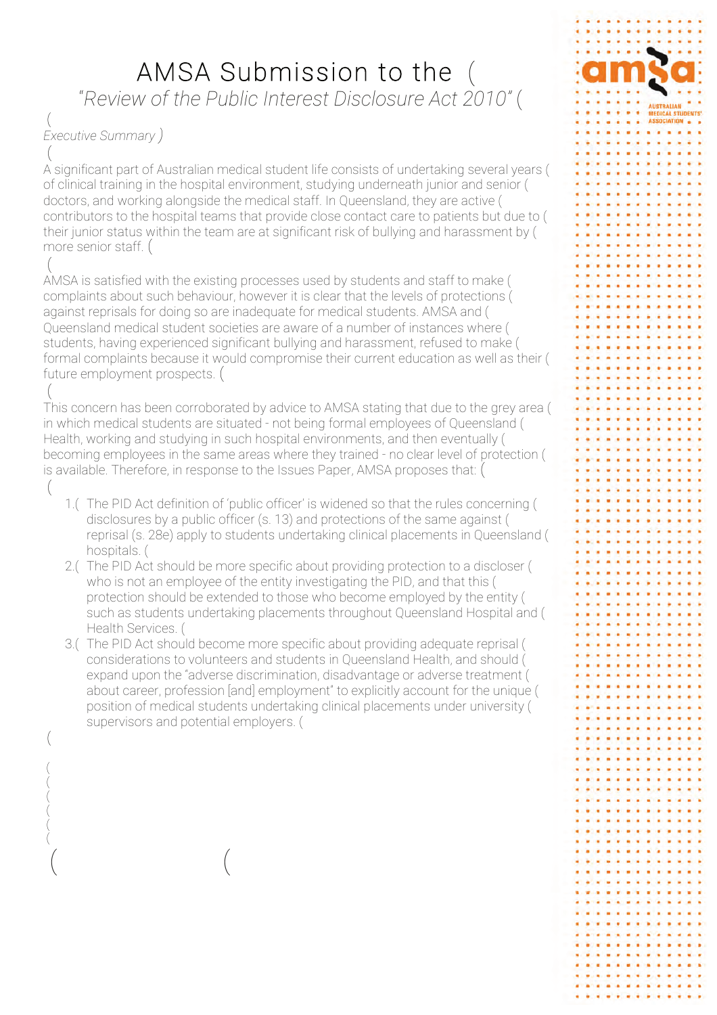# AMSA Submission to the

*f* Review of the Public Interest Disclosure Act 2010" (1986)

#### $\left($ *Executive Summary* )  $\left($

 $\left($ 

 $\left($  $\left($  $\left($  $\left($  $\left($  $\left($ 

 $\begin{pmatrix} 1 & 0 & 0 \\ 0 & 0 & 0 \\ 0 & 0 & 0 \\ 0 & 0 & 0 \\ 0 & 0 & 0 \\ 0 & 0 & 0 \\ 0 & 0 & 0 \\ 0 & 0 & 0 \\ 0 & 0 & 0 \\ 0 & 0 & 0 & 0 \\ 0 & 0 & 0 & 0 \\ 0 & 0 & 0 & 0 \\ 0 & 0 & 0 & 0 \\ 0 & 0 & 0 & 0 & 0 \\ 0 & 0 & 0 & 0 & 0 \\ 0 & 0 & 0 & 0 & 0 \\ 0 & 0 & 0 & 0 & 0 & 0 \\ 0 & 0 & 0 & 0 & 0 & 0 \\ 0 &$ 

A significant part of Australian medical student life consists of undertaking several years ( of clinical training in the hospital environment, studying underneath junior and senior ( doctors, and working alongside the medical staff. In Queensland, they are active ( contributors to the hospital teams that provide close contact care to patients but due to ( their junior status within the team are at significant risk of bullying and harassment by ( more senior staff.  $($ 

 $\left($ AMSA is satisfied with the existing processes used by students and staff to make ( complaints about such behaviour, however it is clear that the levels of protections ( against reprisals for doing so are inadequate for medical students. AMSA and ( Queensland medical student societies are aware of a number of instances where ( students, having experienced significant bullying and harassment, refused to make ( formal complaints because it would compromise their current education as well as their ( future employment prospects.  $($ 

 $\left($ This concern has been corroborated by advice to AMSA stating that due to the grey area ( in which medical students are situated - not being formal employees of Queensland ( Health, working and studying in such hospital environments, and then eventually ( becoming employees in the same areas where they trained - no clear level of protection ( is available. Therefore, in response to the Issues Paper, AMSA proposes that: (  $\left($ 

- disclosures by a public officer (s. 13) and protections of the same against ( reprisal (s. 28e) apply to students undertaking clinical placements in Queensland ( 1.( The PID Act definition of 'public officer' is widened so that the rules concerning ( hospitals. (
- 2.( The PID Act should be more specific about providing protection to a discloser ( who is not an employee of the entity investigating the PID, and that this ( protection should be extended to those who become employed by the entity ( such as students undertaking placements throughout Queensland Hospital and ( Health Services. (
- 3.( The PID Act should become more specific about providing adequate reprisal ( considerations to volunteers and students in Queensland Health, and should ( expand upon the "adverse discrimination, disadvantage or adverse treatment ( about career, profession [and] employment" to explicitly account for the unique ( position of medical students undertaking clinical placements under university ( supervisors and potential employers. (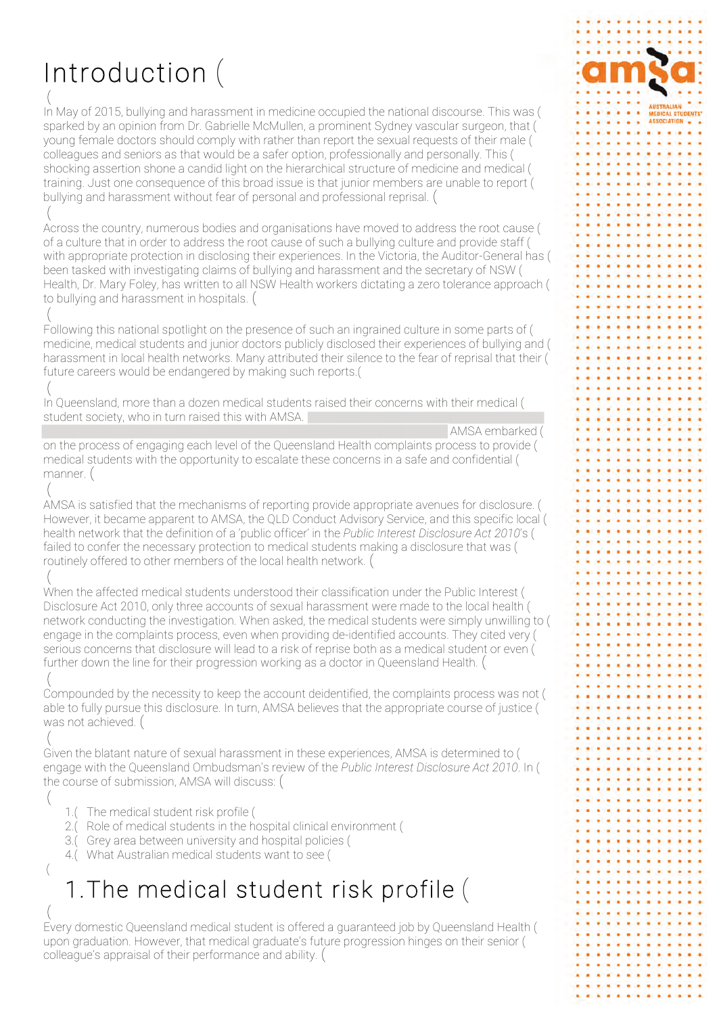# Introduction (

In May of 2015, bullying and harassment in medicine occupied the national discourse. This was ( sparked by an opinion from Dr. Gabrielle McMullen, a prominent Sydney vascular surgeon, that ( young female doctors should comply with rather than report the sexual requests of their male ( colleagues and seniors as that would be a safer option, professionally and personally. This ( shocking assertion shone a candid light on the hierarchical structure of medicine and medical ( training. Just one consequence of this broad issue is that junior members are unable to report ( bullying and harassment without fear of personal and professional reprisal. (

Across the country, numerous bodies and organisations have moved to address the root cause ( of a culture that in order to address the root cause of such a bullying culture and provide staff ( with appropriate protection in disclosing their experiences. In the Victoria, the Auditor-General has ( been tasked with investigating claims of bullying and harassment and the secretary of NSW ( Health. Dr. Mary Foley, has written to all NSW Health workers dictating a zero tolerance approach ( to bullying and harassment in hospitals. (

Following this national spotlight on the presence of such an ingrained culture in some parts of ( medicine, medical students and junior doctors publicly disclosed their experiences of bullying and ( harassment in local health networks. Many attributed their silence to the fear of reprisal that their ( future careers would be endangered by making such reports.(

In Queensland, more than a dozen medical students raised their concerns with their medical ( student society, who in turn raised this with AMSA.

AMSA embarked (

**FOICAL STUDENTS'** 

. . . . . . . . . .

on the process of engaging each level of the Queensland Health complaints process to provide ( medical students with the opportunity to escalate these concerns in a safe and confidential ( manner. (

AMSA is satisfied that the mechanisms of reporting provide appropriate avenues for disclosure. ( However, it became apparent to AMSA, the QLD Conduct Advisory Service, and this specific local ( health network that the definition of a 'public officer' in the Public Interest Disclosure Act 2010's ( failed to confer the necessary protection to medical students making a disclosure that was ( routinely offered to other members of the local health network. (

When the affected medical students understood their classification under the Public Interest ( Disclosure Act 2010, only three accounts of sexual harassment were made to the local health ( network conducting the investigation. When asked, the medical students were simply unwilling to ( engage in the complaints process, even when providing de-identified accounts. They cited very ( serious concerns that disclosure will lead to a risk of reprise both as a medical student or even ( further down the line for their progression working as a doctor in Queensland Health. (

Compounded by the necessity to keep the account deidentified, the complaints process was not ( able to fully pursue this disclosure. In turn, AMSA believes that the appropriate course of justice ( was not achieved. (

Given the blatant nature of sexual harassment in these experiences, AMSA is determined to ( engage with the Queensland Ombudsman's review of the Public Interest Disclosure Act 2010. In ( the course of submission. AMSA will discuss: (

- 1.(The medical student risk profile (
- 2.( Role of medical students in the hospital clinical environment (
- 3.( Grey area between university and hospital policies (
- 4.( What Australian medical students want to see (

# 1. The medical student risk profile (

Every domestic Queensland medical student is offered a quaranteed job by Queensland Health ( upon graduation. However, that medical graduate's future progression hinges on their senior ( colleague's appraisal of their performance and ability. (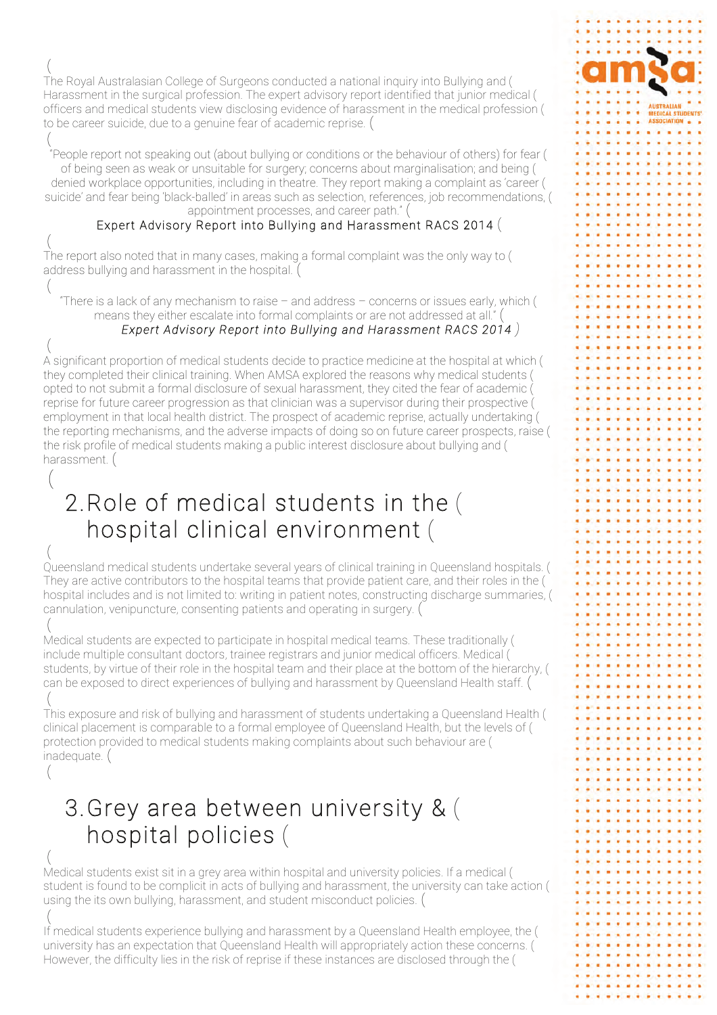The Roval Australasian College of Surgeons conducted a national inguiry into Bullying and ( Harassment in the surgical profession. The expert advisory report identified that junior medical ( officers and medical students view disclosing evidence of harassment in the medical profession ( to be career suicide, due to a genuine fear of academic reprise. (

"People report not speaking out (about bullying or conditions or the behaviour of others) for fear ( of being seen as weak or unsuitable for surgery; concerns about marginalisation; and being ( denied workplace opportunities, including in theatre. They report making a complaint as 'career ( suicide' and fear being 'black-balled' in areas such as selection, references, job recommendations, ( appointment processes, and career path." (

### Expert Advisory Report into Bullying and Harassment RACS 2014 (

The report also noted that in many cases, making a formal complaint was the only way to ( address bullying and harassment in the hospital. (

"There is a lack of any mechanism to raise - and address - concerns or issues early, which ( means they either escalate into formal complaints or are not addressed at all."

### Expert Advisory Report into Bullying and Harassment RACS 2014)

A significant proportion of medical students decide to practice medicine at the hospital at which ( they completed their clinical training. When AMSA explored the reasons why medical students ( opted to not submit a formal disclosure of sexual harassment, they cited the fear of academic ( reprise for future career progression as that clinician was a supervisor during their prospective ( employment in that local health district. The prospect of academic reprise, actually undertaking ( the reporting mechanisms, and the adverse impacts of doing so on future career prospects, raise ( the risk profile of medical students making a public interest disclosure about bullying and ( harassment. (

## 2. Role of medical students in the ( hospital clinical environment (

Queensland medical students undertake several years of clinical training in Queensland hospitals. ( They are active contributors to the hospital teams that provide patient care, and their roles in the ( hospital includes and is not limited to: writing in patient notes, constructing discharge summaries, ( cannulation, venipuncture, consenting patients and operating in surgery. (

Medical students are expected to participate in hospital medical teams. These traditionally ( include multiple consultant doctors, trainee registrars and junior medical officers. Medical ( students, by virtue of their role in the hospital team and their place at the bottom of the hierarchy, ( can be exposed to direct experiences of bullying and harassment by Queensland Health staff. (

This exposure and risk of bullying and harassment of students undertaking a Queensland Health ( clinical placement is comparable to a formal employee of Queensland Health, but the levels of ( protection provided to medical students making complaints about such behaviour are ( inadequate. (

### 3. Grey area between university & ( hospital policies (

Medical students exist sit in a grey area within hospital and university policies. If a medical ( student is found to be complicit in acts of bullying and harassment, the university can take action ( using the its own bullying, harassment, and student misconduct policies. (

If medical students experience bullying and harassment by a Queensland Health employee, the ( university has an expectation that Queensland Health will appropriately action these concerns. ( However, the difficulty lies in the risk of reprise if these instances are disclosed through the (